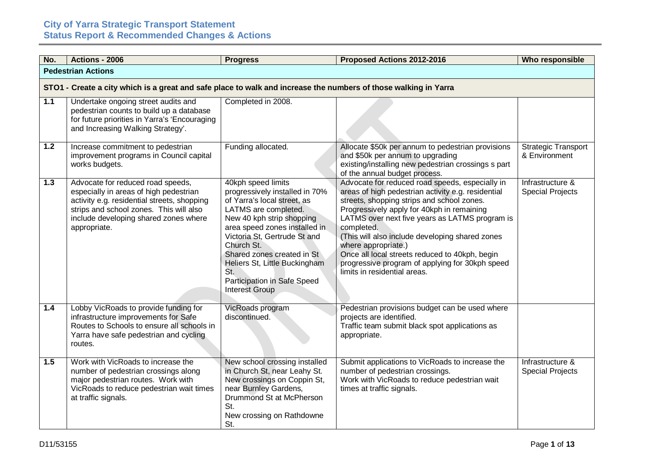| No.   | <b>Actions - 2006</b>                                                                                                                                                                                                          | <b>Progress</b>                                                                                                                                                                                                                                                                                                                                       | Proposed Actions 2012-2016                                                                                                                                                                                                                                                                                                                                                                                                                                                       | Who responsible                             |  |  |
|-------|--------------------------------------------------------------------------------------------------------------------------------------------------------------------------------------------------------------------------------|-------------------------------------------------------------------------------------------------------------------------------------------------------------------------------------------------------------------------------------------------------------------------------------------------------------------------------------------------------|----------------------------------------------------------------------------------------------------------------------------------------------------------------------------------------------------------------------------------------------------------------------------------------------------------------------------------------------------------------------------------------------------------------------------------------------------------------------------------|---------------------------------------------|--|--|
|       | <b>Pedestrian Actions</b>                                                                                                                                                                                                      |                                                                                                                                                                                                                                                                                                                                                       |                                                                                                                                                                                                                                                                                                                                                                                                                                                                                  |                                             |  |  |
|       | STO1 - Create a city which is a great and safe place to walk and increase the numbers of those walking in Yarra                                                                                                                |                                                                                                                                                                                                                                                                                                                                                       |                                                                                                                                                                                                                                                                                                                                                                                                                                                                                  |                                             |  |  |
| $1.1$ | Undertake ongoing street audits and<br>pedestrian counts to build up a database<br>for future priorities in Yarra's 'Encouraging<br>and Increasing Walking Strategy'.                                                          | Completed in 2008.                                                                                                                                                                                                                                                                                                                                    |                                                                                                                                                                                                                                                                                                                                                                                                                                                                                  |                                             |  |  |
| $1.2$ | Increase commitment to pedestrian<br>improvement programs in Council capital<br>works budgets.                                                                                                                                 | Funding allocated.                                                                                                                                                                                                                                                                                                                                    | Allocate \$50k per annum to pedestrian provisions<br>and \$50k per annum to upgrading<br>existing/installing new pedestrian crossings s part<br>of the annual budget process.                                                                                                                                                                                                                                                                                                    | <b>Strategic Transport</b><br>& Environment |  |  |
| 1.3   | Advocate for reduced road speeds,<br>especially in areas of high pedestrian<br>activity e.g. residential streets, shopping<br>strips and school zones. This will also<br>include developing shared zones where<br>appropriate. | 40kph speed limits<br>progressively installed in 70%<br>of Yarra's local street, as<br>LATMS are completed.<br>New 40 kph strip shopping<br>area speed zones installed in<br>Victoria St, Gertrude St and<br>Church St.<br>Shared zones created in St<br>Heliers St, Little Buckingham<br>St.<br>Participation in Safe Speed<br><b>Interest Group</b> | Advocate for reduced road speeds, especially in<br>areas of high pedestrian activity e.g. residential<br>streets, shopping strips and school zones.<br>Progressively apply for 40kph in remaining<br>LATMS over next five years as LATMS program is<br>completed.<br>(This will also include developing shared zones<br>where appropriate.)<br>Once all local streets reduced to 40kph, begin<br>progressive program of applying for 30kph speed<br>limits in residential areas. | Infrastructure &<br><b>Special Projects</b> |  |  |
| 1.4   | Lobby VicRoads to provide funding for<br>infrastructure improvements for Safe<br>Routes to Schools to ensure all schools in<br>Yarra have safe pedestrian and cycling<br>routes.                                               | VicRoads program<br>discontinued.                                                                                                                                                                                                                                                                                                                     | Pedestrian provisions budget can be used where<br>projects are identified.<br>Traffic team submit black spot applications as<br>appropriate.                                                                                                                                                                                                                                                                                                                                     |                                             |  |  |
| 1.5   | Work with VicRoads to increase the<br>number of pedestrian crossings along<br>major pedestrian routes. Work with<br>VicRoads to reduce pedestrian wait times<br>at traffic signals.                                            | New school crossing installed<br>in Church St, near Leahy St.<br>New crossings on Coppin St,<br>near Burnley Gardens,<br>Drummond St at McPherson<br>St.<br>New crossing on Rathdowne<br>St.                                                                                                                                                          | Submit applications to VicRoads to increase the<br>number of pedestrian crossings.<br>Work with VicRoads to reduce pedestrian wait<br>times at traffic signals.                                                                                                                                                                                                                                                                                                                  | Infrastructure &<br><b>Special Projects</b> |  |  |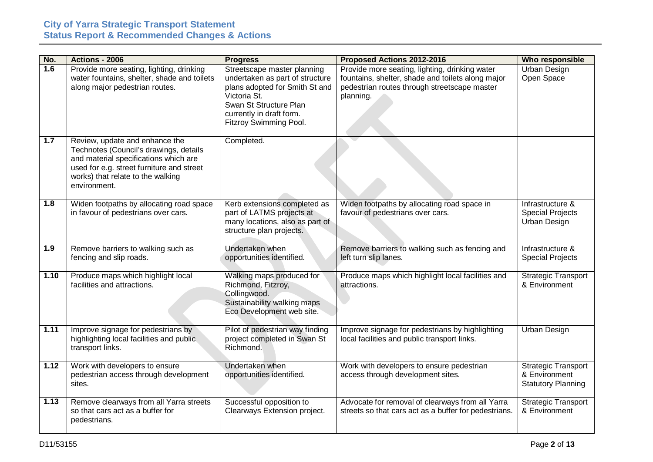| No.  | <b>Actions - 2006</b>                                                                                                                                                                                               | <b>Progress</b>                                                                                                                                                                                  | Proposed Actions 2012-2016                                                                                                                                       | Who responsible                                                          |
|------|---------------------------------------------------------------------------------------------------------------------------------------------------------------------------------------------------------------------|--------------------------------------------------------------------------------------------------------------------------------------------------------------------------------------------------|------------------------------------------------------------------------------------------------------------------------------------------------------------------|--------------------------------------------------------------------------|
| 1.6  | Provide more seating, lighting, drinking<br>water fountains, shelter, shade and toilets<br>along major pedestrian routes.                                                                                           | Streetscape master planning<br>undertaken as part of structure<br>plans adopted for Smith St and<br>Victoria St.<br>Swan St Structure Plan<br>currently in draft form.<br>Fitzroy Swimming Pool. | Provide more seating, lighting, drinking water<br>fountains, shelter, shade and toilets along major<br>pedestrian routes through streetscape master<br>planning. | <b>Urban Design</b><br>Open Space                                        |
| 1.7  | Review, update and enhance the<br>Technotes (Council's drawings, details<br>and material specifications which are<br>used for e.g. street furniture and street<br>works) that relate to the walking<br>environment. | Completed.                                                                                                                                                                                       |                                                                                                                                                                  |                                                                          |
| 1.8  | Widen footpaths by allocating road space<br>in favour of pedestrians over cars.                                                                                                                                     | Kerb extensions completed as<br>part of LATMS projects at<br>many locations, also as part of<br>structure plan projects.                                                                         | Widen footpaths by allocating road space in<br>favour of pedestrians over cars.                                                                                  | Infrastructure &<br><b>Special Projects</b><br><b>Urban Design</b>       |
| 1.9  | Remove barriers to walking such as<br>fencing and slip roads.                                                                                                                                                       | Undertaken when<br>opportunities identified.                                                                                                                                                     | Remove barriers to walking such as fencing and<br>left turn slip lanes.                                                                                          | Infrastructure &<br><b>Special Projects</b>                              |
| 1.10 | Produce maps which highlight local<br>facilities and attractions.                                                                                                                                                   | Walking maps produced for<br>Richmond, Fitzroy,<br>Collingwood.<br>Sustainability walking maps<br>Eco Development web site.                                                                      | Produce maps which highlight local facilities and<br>attractions.                                                                                                | <b>Strategic Transport</b><br>& Environment                              |
| 1.11 | Improve signage for pedestrians by<br>highlighting local facilities and public<br>transport links.                                                                                                                  | Pilot of pedestrian way finding<br>project completed in Swan St<br>Richmond.                                                                                                                     | Improve signage for pedestrians by highlighting<br>local facilities and public transport links.                                                                  | <b>Urban Design</b>                                                      |
| 1.12 | Work with developers to ensure<br>pedestrian access through development<br>sites.                                                                                                                                   | Undertaken when<br>opportunities identified.                                                                                                                                                     | Work with developers to ensure pedestrian<br>access through development sites.                                                                                   | <b>Strategic Transport</b><br>& Environment<br><b>Statutory Planning</b> |
| 1.13 | Remove clearways from all Yarra streets<br>so that cars act as a buffer for<br>pedestrians.                                                                                                                         | Successful opposition to<br>Clearways Extension project.                                                                                                                                         | Advocate for removal of clearways from all Yarra<br>streets so that cars act as a buffer for pedestrians.                                                        | <b>Strategic Transport</b><br>& Environment                              |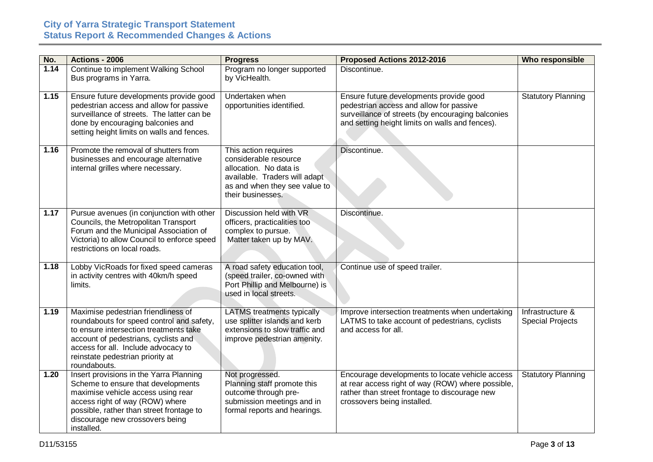| No.  | <b>Actions - 2006</b>                                                                                                                                                                                                                                         | <b>Progress</b>                                                                                                                                                | Proposed Actions 2012-2016                                                                                                                                                                 | Who responsible                             |
|------|---------------------------------------------------------------------------------------------------------------------------------------------------------------------------------------------------------------------------------------------------------------|----------------------------------------------------------------------------------------------------------------------------------------------------------------|--------------------------------------------------------------------------------------------------------------------------------------------------------------------------------------------|---------------------------------------------|
| 1.14 | Continue to implement Walking School<br>Bus programs in Yarra.                                                                                                                                                                                                | Program no longer supported<br>by VicHealth.                                                                                                                   | Discontinue.                                                                                                                                                                               |                                             |
| 1.15 | Ensure future developments provide good<br>pedestrian access and allow for passive<br>surveillance of streets. The latter can be<br>done by encouraging balconies and<br>setting height limits on walls and fences.                                           | Undertaken when<br>opportunities identified.                                                                                                                   | Ensure future developments provide good<br>pedestrian access and allow for passive<br>surveillance of streets (by encouraging balconies<br>and setting height limits on walls and fences). | <b>Statutory Planning</b>                   |
| 1.16 | Promote the removal of shutters from<br>businesses and encourage alternative<br>internal grilles where necessary.                                                                                                                                             | This action requires<br>considerable resource<br>allocation. No data is<br>available. Traders will adapt<br>as and when they see value to<br>their businesses. | Discontinue.                                                                                                                                                                               |                                             |
| 1.17 | Pursue avenues (in conjunction with other<br>Councils, the Metropolitan Transport<br>Forum and the Municipal Association of<br>Victoria) to allow Council to enforce speed<br>restrictions on local roads.                                                    | Discussion held with VR<br>officers, practicalities too<br>complex to pursue.<br>Matter taken up by MAV.                                                       | Discontinue.                                                                                                                                                                               |                                             |
| 1.18 | Lobby VicRoads for fixed speed cameras<br>in activity centres with 40km/h speed<br>limits.                                                                                                                                                                    | A road safety education tool,<br>(speed trailer, co-owned with<br>Port Phillip and Melbourne) is<br>used in local streets.                                     | Continue use of speed trailer.                                                                                                                                                             |                                             |
| 1.19 | Maximise pedestrian friendliness of<br>roundabouts for speed control and safety,<br>to ensure intersection treatments take<br>account of pedestrians, cyclists and<br>access for all. Include advocacy to<br>reinstate pedestrian priority at<br>roundabouts. | <b>LATMS</b> treatments typically<br>use splitter islands and kerb<br>extensions to slow traffic and<br>improve pedestrian amenity.                            | Improve intersection treatments when undertaking<br>LATMS to take account of pedestrians, cyclists<br>and access for all.                                                                  | Infrastructure &<br><b>Special Projects</b> |
| 1.20 | Insert provisions in the Yarra Planning<br>Scheme to ensure that developments<br>maximise vehicle access using rear<br>access right of way (ROW) where<br>possible, rather than street frontage to<br>discourage new crossovers being<br>installed.           | Not progressed.<br>Planning staff promote this<br>outcome through pre-<br>submission meetings and in<br>formal reports and hearings.                           | Encourage developments to locate vehicle access<br>at rear access right of way (ROW) where possible,<br>rather than street frontage to discourage new<br>crossovers being installed.       | <b>Statutory Planning</b>                   |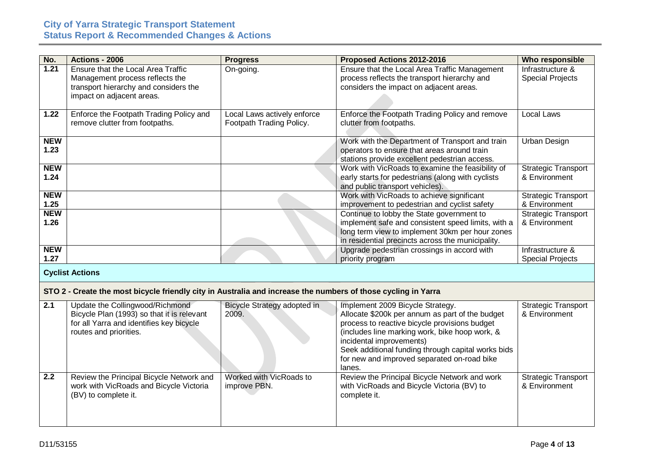| No.                | Actions - 2006                                                                                                                                      | <b>Progress</b>                                         | Proposed Actions 2012-2016                                                                                                                                                                                                                                                                                                        | Who responsible                             |
|--------------------|-----------------------------------------------------------------------------------------------------------------------------------------------------|---------------------------------------------------------|-----------------------------------------------------------------------------------------------------------------------------------------------------------------------------------------------------------------------------------------------------------------------------------------------------------------------------------|---------------------------------------------|
| 1.21               | Ensure that the Local Area Traffic<br>Management process reflects the<br>transport hierarchy and considers the<br>impact on adjacent areas.         | On-going.                                               | Ensure that the Local Area Traffic Management<br>process reflects the transport hierarchy and<br>considers the impact on adjacent areas.                                                                                                                                                                                          | Infrastructure &<br><b>Special Projects</b> |
| 1.22               | Enforce the Footpath Trading Policy and<br>remove clutter from footpaths.                                                                           | Local Laws actively enforce<br>Footpath Trading Policy. | Enforce the Footpath Trading Policy and remove<br>clutter from footpaths.                                                                                                                                                                                                                                                         | Local Laws                                  |
| <b>NEW</b><br>1.23 |                                                                                                                                                     |                                                         | Work with the Department of Transport and train<br>operators to ensure that areas around train<br>stations provide excellent pedestrian access.                                                                                                                                                                                   | <b>Urban Design</b>                         |
| <b>NEW</b><br>1.24 |                                                                                                                                                     |                                                         | Work with VicRoads to examine the feasibility of<br>early starts for pedestrians (along with cyclists<br>and public transport vehicles).                                                                                                                                                                                          | <b>Strategic Transport</b><br>& Environment |
| <b>NEW</b><br>1.25 |                                                                                                                                                     |                                                         | Work with VicRoads to achieve significant<br>improvement to pedestrian and cyclist safety                                                                                                                                                                                                                                         | <b>Strategic Transport</b><br>& Environment |
| <b>NEW</b><br>1.26 |                                                                                                                                                     |                                                         | Continue to lobby the State government to<br>implement safe and consistent speed limits, with a<br>long term view to implement 30km per hour zones<br>in residential precincts across the municipality.                                                                                                                           | <b>Strategic Transport</b><br>& Environment |
| <b>NEW</b><br>1.27 |                                                                                                                                                     |                                                         | Upgrade pedestrian crossings in accord with<br>priority program                                                                                                                                                                                                                                                                   | Infrastructure &<br><b>Special Projects</b> |
|                    | <b>Cyclist Actions</b>                                                                                                                              |                                                         |                                                                                                                                                                                                                                                                                                                                   |                                             |
|                    | STO 2 - Create the most bicycle friendly city in Australia and increase the numbers of those cycling in Yarra                                       |                                                         |                                                                                                                                                                                                                                                                                                                                   |                                             |
| 2.1                | Update the Collingwood/Richmond<br>Bicycle Plan (1993) so that it is relevant<br>for all Yarra and identifies key bicycle<br>routes and priorities. | Bicycle Strategy adopted in<br>2009.                    | Implement 2009 Bicycle Strategy.<br>Allocate \$200k per annum as part of the budget<br>process to reactive bicycle provisions budget<br>(includes line marking work, bike hoop work, &<br>incidental improvements)<br>Seek additional funding through capital works bids<br>for new and improved separated on-road bike<br>lanes. | <b>Strategic Transport</b><br>& Environment |
| 2.2                | Review the Principal Bicycle Network and<br>work with VicRoads and Bicycle Victoria<br>(BV) to complete it.                                         | Worked with VicRoads to<br>improve PBN.                 | Review the Principal Bicycle Network and work<br>with VicRoads and Bicycle Victoria (BV) to<br>complete it.                                                                                                                                                                                                                       | <b>Strategic Transport</b><br>& Environment |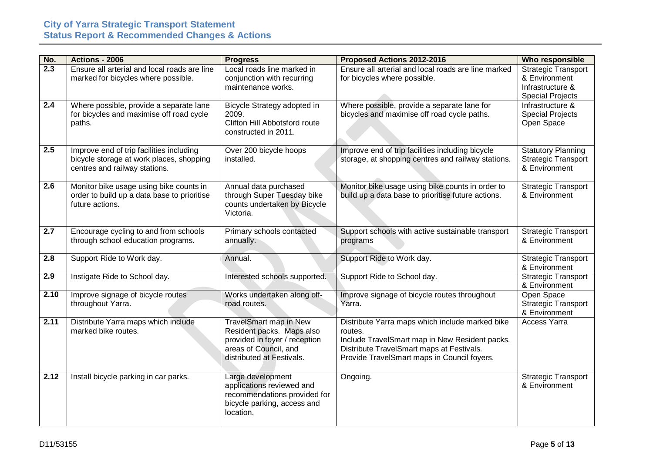| No.  | Actions - 2006                                                                                                        | <b>Progress</b>                                                                                                                                   | Proposed Actions 2012-2016                                                                                                                                                                               | Who responsible                                                                            |
|------|-----------------------------------------------------------------------------------------------------------------------|---------------------------------------------------------------------------------------------------------------------------------------------------|----------------------------------------------------------------------------------------------------------------------------------------------------------------------------------------------------------|--------------------------------------------------------------------------------------------|
| 2.3  | Ensure all arterial and local roads are line<br>marked for bicycles where possible.                                   | Local roads line marked in<br>conjunction with recurring<br>maintenance works.                                                                    | Ensure all arterial and local roads are line marked<br>for bicycles where possible.                                                                                                                      | <b>Strategic Transport</b><br>& Environment<br>Infrastructure &<br><b>Special Projects</b> |
| 2.4  | Where possible, provide a separate lane<br>for bicycles and maximise off road cycle<br>paths.                         | Bicycle Strategy adopted in<br>2009.<br>Clifton Hill Abbotsford route<br>constructed in 2011.                                                     | Where possible, provide a separate lane for<br>bicycles and maximise off road cycle paths.                                                                                                               | Infrastructure &<br><b>Special Projects</b><br>Open Space                                  |
| 2.5  | Improve end of trip facilities including<br>bicycle storage at work places, shopping<br>centres and railway stations. | Over 200 bicycle hoops<br>installed.                                                                                                              | Improve end of trip facilities including bicycle<br>storage, at shopping centres and railway stations.                                                                                                   | <b>Statutory Planning</b><br><b>Strategic Transport</b><br>& Environment                   |
| 2.6  | Monitor bike usage using bike counts in<br>order to build up a data base to prioritise<br>future actions.             | Annual data purchased<br>through Super Tuesday bike<br>counts undertaken by Bicycle<br>Victoria.                                                  | Monitor bike usage using bike counts in order to<br>build up a data base to prioritise future actions.                                                                                                   | <b>Strategic Transport</b><br>& Environment                                                |
| 2.7  | Encourage cycling to and from schools<br>through school education programs.                                           | Primary schools contacted<br>annually.                                                                                                            | Support schools with active sustainable transport<br>programs                                                                                                                                            | <b>Strategic Transport</b><br>& Environment                                                |
| 2.8  | Support Ride to Work day.                                                                                             | Annual.                                                                                                                                           | Support Ride to Work day.                                                                                                                                                                                | <b>Strategic Transport</b><br>& Environment                                                |
| 2.9  | Instigate Ride to School day.                                                                                         | Interested schools supported.                                                                                                                     | Support Ride to School day.                                                                                                                                                                              | <b>Strategic Transport</b><br>& Environment                                                |
| 2.10 | Improve signage of bicycle routes<br>throughout Yarra.                                                                | Works undertaken along off-<br>road routes.                                                                                                       | Improve signage of bicycle routes throughout<br>Yarra.                                                                                                                                                   | Open Space<br><b>Strategic Transport</b><br>& Environment                                  |
| 2.11 | Distribute Yarra maps which include<br>marked bike routes.                                                            | <b>TravelSmart map in New</b><br>Resident packs. Maps also<br>provided in foyer / reception<br>areas of Council, and<br>distributed at Festivals. | Distribute Yarra maps which include marked bike<br>routes.<br>Include TravelSmart map in New Resident packs.<br>Distribute TravelSmart maps at Festivals.<br>Provide TravelSmart maps in Council foyers. | <b>Access Yarra</b>                                                                        |
| 2.12 | Install bicycle parking in car parks.                                                                                 | Large development<br>applications reviewed and<br>recommendations provided for<br>bicycle parking, access and<br>location.                        | Ongoing.                                                                                                                                                                                                 | <b>Strategic Transport</b><br>& Environment                                                |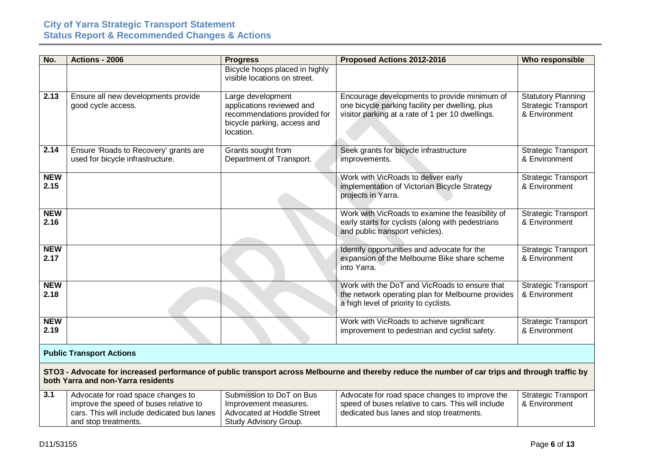| No.              | Actions - 2006                                                                                                                                                                         | <b>Progress</b>                                                | Proposed Actions 2012-2016                         | <b>Who responsible</b>     |  |
|------------------|----------------------------------------------------------------------------------------------------------------------------------------------------------------------------------------|----------------------------------------------------------------|----------------------------------------------------|----------------------------|--|
|                  |                                                                                                                                                                                        | Bicycle hoops placed in highly<br>visible locations on street. |                                                    |                            |  |
|                  |                                                                                                                                                                                        |                                                                |                                                    |                            |  |
| 2.13             | Ensure all new developments provide                                                                                                                                                    | Large development                                              | Encourage developments to provide minimum of       | <b>Statutory Planning</b>  |  |
|                  | good cycle access.                                                                                                                                                                     | applications reviewed and                                      | one bicycle parking facility per dwelling, plus    | <b>Strategic Transport</b> |  |
|                  |                                                                                                                                                                                        | recommendations provided for<br>bicycle parking, access and    | visitor parking at a rate of 1 per 10 dwellings.   | & Environment              |  |
|                  |                                                                                                                                                                                        | location.                                                      |                                                    |                            |  |
|                  |                                                                                                                                                                                        |                                                                |                                                    |                            |  |
| 2.14             | Ensure 'Roads to Recovery' grants are                                                                                                                                                  | Grants sought from                                             | Seek grants for bicycle infrastructure             | <b>Strategic Transport</b> |  |
|                  | used for bicycle infrastructure.                                                                                                                                                       | Department of Transport.                                       | improvements.                                      | & Environment              |  |
| <b>NEW</b>       |                                                                                                                                                                                        |                                                                | Work with VicRoads to deliver early                | <b>Strategic Transport</b> |  |
| 2.15             |                                                                                                                                                                                        |                                                                | implementation of Victorian Bicycle Strategy       | & Environment              |  |
|                  |                                                                                                                                                                                        |                                                                | projects in Yarra.                                 |                            |  |
| <b>NEW</b>       |                                                                                                                                                                                        |                                                                | Work with VicRoads to examine the feasibility of   | <b>Strategic Transport</b> |  |
| 2.16             |                                                                                                                                                                                        |                                                                | early starts for cyclists (along with pedestrians  | & Environment              |  |
|                  |                                                                                                                                                                                        |                                                                | and public transport vehicles).                    |                            |  |
| <b>NEW</b>       |                                                                                                                                                                                        |                                                                | Identify opportunities and advocate for the        | <b>Strategic Transport</b> |  |
| 2.17             |                                                                                                                                                                                        |                                                                | expansion of the Melbourne Bike share scheme       | & Environment              |  |
|                  |                                                                                                                                                                                        |                                                                | into Yarra.                                        |                            |  |
| <b>NEW</b>       |                                                                                                                                                                                        |                                                                | Work with the DoT and VicRoads to ensure that      | <b>Strategic Transport</b> |  |
| 2.18             |                                                                                                                                                                                        |                                                                | the network operating plan for Melbourne provides  | & Environment              |  |
|                  |                                                                                                                                                                                        |                                                                | a high level of priority to cyclists.              |                            |  |
| <b>NEW</b>       |                                                                                                                                                                                        |                                                                | Work with VicRoads to achieve significant          | <b>Strategic Transport</b> |  |
| 2.19             |                                                                                                                                                                                        |                                                                | improvement to pedestrian and cyclist safety.      | & Environment              |  |
|                  |                                                                                                                                                                                        |                                                                |                                                    |                            |  |
|                  | <b>Public Transport Actions</b>                                                                                                                                                        |                                                                |                                                    |                            |  |
|                  |                                                                                                                                                                                        |                                                                |                                                    |                            |  |
|                  | STO3 - Advocate for increased performance of public transport across Melbourne and thereby reduce the number of car trips and through traffic by<br>both Yarra and non-Yarra residents |                                                                |                                                    |                            |  |
| $\overline{3.1}$ | Advocate for road space changes to                                                                                                                                                     | Submission to DoT on Bus                                       | Advocate for road space changes to improve the     | <b>Strategic Transport</b> |  |
|                  | improve the speed of buses relative to                                                                                                                                                 | Improvement measures.                                          | speed of buses relative to cars. This will include | & Environment              |  |
|                  | cars. This will include dedicated bus lanes                                                                                                                                            | Advocated at Hoddle Street                                     | dedicated bus lanes and stop treatments.           |                            |  |
|                  | and stop treatments.                                                                                                                                                                   | Study Advisory Group.                                          |                                                    |                            |  |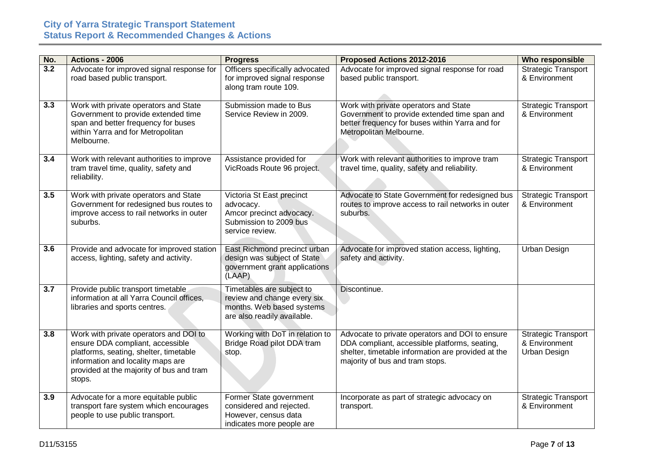| No. | Actions - 2006                                                                                                                                                                                                  | <b>Progress</b>                                                                                                      | Proposed Actions 2012-2016                                                                                                                                                                | Who responsible                                             |
|-----|-----------------------------------------------------------------------------------------------------------------------------------------------------------------------------------------------------------------|----------------------------------------------------------------------------------------------------------------------|-------------------------------------------------------------------------------------------------------------------------------------------------------------------------------------------|-------------------------------------------------------------|
| 3.2 | Advocate for improved signal response for<br>road based public transport.                                                                                                                                       | Officers specifically advocated<br>for improved signal response<br>along tram route 109.                             | Advocate for improved signal response for road<br>based public transport.                                                                                                                 | <b>Strategic Transport</b><br>& Environment                 |
| 3.3 | Work with private operators and State<br>Government to provide extended time<br>span and better frequency for buses<br>within Yarra and for Metropolitan<br>Melbourne.                                          | Submission made to Bus<br>Service Review in 2009.                                                                    | Work with private operators and State<br>Government to provide extended time span and<br>better frequency for buses within Yarra and for<br>Metropolitan Melbourne.                       | <b>Strategic Transport</b><br>& Environment                 |
| 3.4 | Work with relevant authorities to improve<br>tram travel time, quality, safety and<br>reliability.                                                                                                              | Assistance provided for<br>VicRoads Route 96 project.                                                                | Work with relevant authorities to improve tram<br>travel time, quality, safety and reliability.                                                                                           | <b>Strategic Transport</b><br>& Environment                 |
| 3.5 | Work with private operators and State<br>Government for redesigned bus routes to<br>improve access to rail networks in outer<br>suburbs.                                                                        | Victoria St East precinct<br>advocacy.<br>Amcor precinct advocacy.<br>Submission to 2009 bus<br>service review.      | Advocate to State Government for redesigned bus<br>routes to improve access to rail networks in outer<br>suburbs.                                                                         | <b>Strategic Transport</b><br>& Environment                 |
| 3.6 | Provide and advocate for improved station<br>access, lighting, safety and activity.                                                                                                                             | East Richmond precinct urban<br>design was subject of State<br>government grant applications<br>(LAAP)               | Advocate for improved station access, lighting,<br>safety and activity.                                                                                                                   | Urban Design                                                |
| 3.7 | Provide public transport timetable<br>information at all Yarra Council offices,<br>libraries and sports centres.                                                                                                | Timetables are subject to<br>review and change every six<br>months. Web based systems<br>are also readily available. | Discontinue.                                                                                                                                                                              |                                                             |
| 3.8 | Work with private operators and DOI to<br>ensure DDA compliant, accessible<br>platforms, seating, shelter, timetable<br>information and locality maps are<br>provided at the majority of bus and tram<br>stops. | Working with DoT in relation to<br>Bridge Road pilot DDA tram<br>stop.                                               | Advocate to private operators and DOI to ensure<br>DDA compliant, accessible platforms, seating,<br>shelter, timetable information are provided at the<br>majority of bus and tram stops. | <b>Strategic Transport</b><br>& Environment<br>Urban Design |
| 3.9 | Advocate for a more equitable public<br>transport fare system which encourages<br>people to use public transport.                                                                                               | Former State government<br>considered and rejected.<br>However, census data<br>indicates more people are             | Incorporate as part of strategic advocacy on<br>transport.                                                                                                                                | <b>Strategic Transport</b><br>& Environment                 |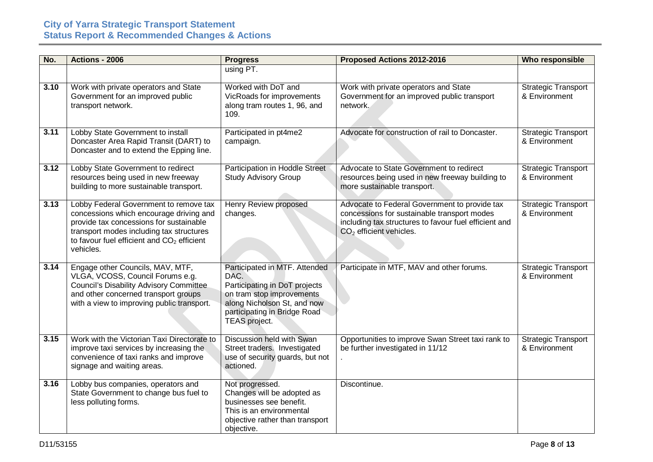| No.  | Actions - 2006                                                                                                                                                                                                                                  | <b>Progress</b>                                                                                                                                                                     | Proposed Actions 2012-2016                                                                                                                                                         | <b>Who responsible</b>                      |
|------|-------------------------------------------------------------------------------------------------------------------------------------------------------------------------------------------------------------------------------------------------|-------------------------------------------------------------------------------------------------------------------------------------------------------------------------------------|------------------------------------------------------------------------------------------------------------------------------------------------------------------------------------|---------------------------------------------|
|      |                                                                                                                                                                                                                                                 | using PT.                                                                                                                                                                           |                                                                                                                                                                                    |                                             |
| 3.10 | Work with private operators and State<br>Government for an improved public<br>transport network.                                                                                                                                                | Worked with DoT and<br>VicRoads for improvements<br>along tram routes 1, 96, and<br>109.                                                                                            | Work with private operators and State<br>Government for an improved public transport<br>network.                                                                                   | <b>Strategic Transport</b><br>& Environment |
| 3.11 | Lobby State Government to install<br>Doncaster Area Rapid Transit (DART) to<br>Doncaster and to extend the Epping line.                                                                                                                         | Participated in pt4me2<br>campaign.                                                                                                                                                 | Advocate for construction of rail to Doncaster.                                                                                                                                    | <b>Strategic Transport</b><br>& Environment |
| 3.12 | Lobby State Government to redirect<br>resources being used in new freeway<br>building to more sustainable transport.                                                                                                                            | Participation in Hoddle Street<br><b>Study Advisory Group</b>                                                                                                                       | Advocate to State Government to redirect<br>resources being used in new freeway building to<br>more sustainable transport.                                                         | <b>Strategic Transport</b><br>& Environment |
| 3.13 | Lobby Federal Government to remove tax<br>concessions which encourage driving and<br>provide tax concessions for sustainable<br>transport modes including tax structures<br>to favour fuel efficient and CO <sub>2</sub> efficient<br>vehicles. | Henry Review proposed<br>changes.                                                                                                                                                   | Advocate to Federal Government to provide tax<br>concessions for sustainable transport modes<br>including tax structures to favour fuel efficient and<br>$CO2$ efficient vehicles. | <b>Strategic Transport</b><br>& Environment |
| 3.14 | Engage other Councils, MAV, MTF,<br>VLGA, VCOSS, Council Forums e.g.<br><b>Council's Disability Advisory Committee</b><br>and other concerned transport groups<br>with a view to improving public transport.                                    | Participated in MTF. Attended<br>DAC.<br>Participating in DoT projects<br>on tram stop improvements<br>along Nicholson St, and now<br>participating in Bridge Road<br>TEAS project. | Participate in MTF, MAV and other forums.                                                                                                                                          | <b>Strategic Transport</b><br>& Environment |
| 3.15 | Work with the Victorian Taxi Directorate to<br>improve taxi services by increasing the<br>convenience of taxi ranks and improve<br>signage and waiting areas.                                                                                   | Discussion held with Swan<br>Street traders. Investigated<br>use of security guards, but not<br>actioned.                                                                           | Opportunities to improve Swan Street taxi rank to<br>be further investigated in 11/12                                                                                              | <b>Strategic Transport</b><br>& Environment |
| 3.16 | Lobby bus companies, operators and<br>State Government to change bus fuel to<br>less polluting forms.                                                                                                                                           | Not progressed.<br>Changes will be adopted as<br>businesses see benefit.<br>This is an environmental<br>objective rather than transport<br>objective.                               | Discontinue.                                                                                                                                                                       |                                             |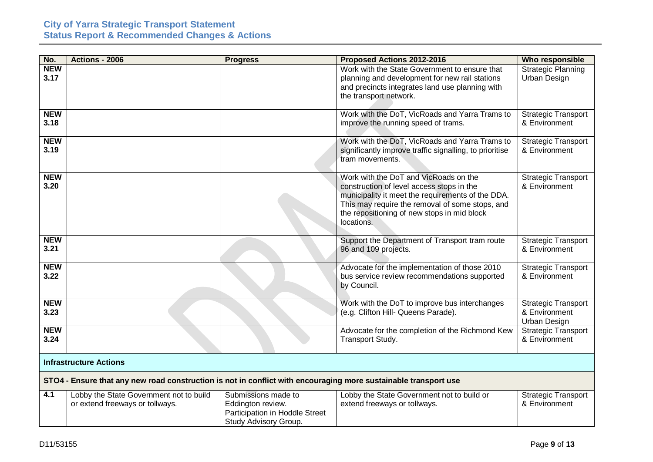| No.                | Actions - 2006                                                                                                  | <b>Progress</b>                                                                                     | Proposed Actions 2012-2016                                                                                                                                                                                                                              | Who responsible                                             |  |
|--------------------|-----------------------------------------------------------------------------------------------------------------|-----------------------------------------------------------------------------------------------------|---------------------------------------------------------------------------------------------------------------------------------------------------------------------------------------------------------------------------------------------------------|-------------------------------------------------------------|--|
| <b>NEW</b><br>3.17 |                                                                                                                 |                                                                                                     | Work with the State Government to ensure that<br>planning and development for new rail stations<br>and precincts integrates land use planning with<br>the transport network.                                                                            | <b>Strategic Planning</b><br>Urban Design                   |  |
| <b>NEW</b><br>3.18 |                                                                                                                 |                                                                                                     | Work with the DoT, VicRoads and Yarra Trams to<br>improve the running speed of trams.                                                                                                                                                                   | <b>Strategic Transport</b><br>& Environment                 |  |
| <b>NEW</b><br>3.19 |                                                                                                                 |                                                                                                     | Work with the DoT, VicRoads and Yarra Trams to<br>significantly improve traffic signalling, to prioritise<br>tram movements.                                                                                                                            | <b>Strategic Transport</b><br>& Environment                 |  |
| <b>NEW</b><br>3.20 |                                                                                                                 |                                                                                                     | Work with the DoT and VicRoads on the<br>construction of level access stops in the<br>municipality it meet the requirements of the DDA.<br>This may require the removal of some stops, and<br>the repositioning of new stops in mid block<br>locations. | <b>Strategic Transport</b><br>& Environment                 |  |
| <b>NEW</b><br>3.21 |                                                                                                                 |                                                                                                     | Support the Department of Transport tram route<br>96 and 109 projects.                                                                                                                                                                                  | <b>Strategic Transport</b><br>& Environment                 |  |
| <b>NEW</b><br>3.22 |                                                                                                                 |                                                                                                     | Advocate for the implementation of those 2010<br>bus service review recommendations supported<br>by Council.                                                                                                                                            | <b>Strategic Transport</b><br>& Environment                 |  |
| <b>NEW</b><br>3.23 |                                                                                                                 |                                                                                                     | Work with the DoT to improve bus interchanges<br>(e.g. Clifton Hill- Queens Parade).                                                                                                                                                                    | <b>Strategic Transport</b><br>& Environment<br>Urban Design |  |
| <b>NEW</b><br>3.24 |                                                                                                                 |                                                                                                     | Advocate for the completion of the Richmond Kew<br>Transport Study.                                                                                                                                                                                     | <b>Strategic Transport</b><br>& Environment                 |  |
|                    | <b>Infrastructure Actions</b>                                                                                   |                                                                                                     |                                                                                                                                                                                                                                                         |                                                             |  |
|                    | STO4 - Ensure that any new road construction is not in conflict with encouraging more sustainable transport use |                                                                                                     |                                                                                                                                                                                                                                                         |                                                             |  |
| 4.1                | Lobby the State Government not to build<br>or extend freeways or tollways.                                      | Submissions made to<br>Eddington review.<br>Participation in Hoddle Street<br>Study Advisory Group. | Lobby the State Government not to build or<br>extend freeways or tollways.                                                                                                                                                                              | <b>Strategic Transport</b><br>& Environment                 |  |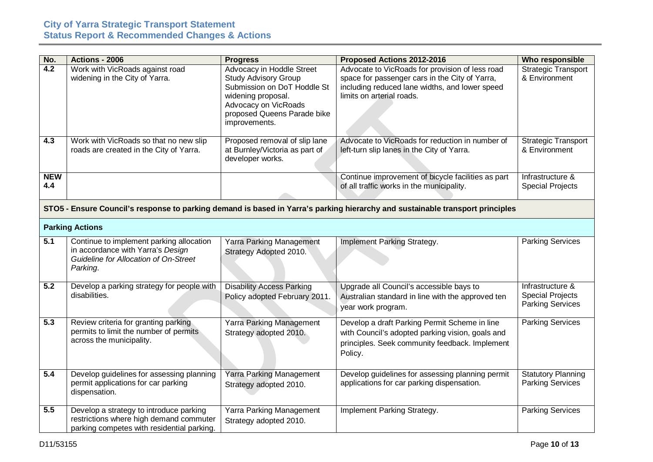| No.               | Actions - 2006                                                                                                                     | <b>Progress</b>                                                                                                                                                                       | Proposed Actions 2012-2016                                                                                                                                                       | Who responsible                                                 |
|-------------------|------------------------------------------------------------------------------------------------------------------------------------|---------------------------------------------------------------------------------------------------------------------------------------------------------------------------------------|----------------------------------------------------------------------------------------------------------------------------------------------------------------------------------|-----------------------------------------------------------------|
| $\overline{4.2}$  | Work with VicRoads against road<br>widening in the City of Yarra.                                                                  | Advocacy in Hoddle Street<br><b>Study Advisory Group</b><br>Submission on DoT Hoddle St<br>widening proposal.<br>Advocacy on VicRoads<br>proposed Queens Parade bike<br>improvements. | Advocate to VicRoads for provision of less road<br>space for passenger cars in the City of Yarra,<br>including reduced lane widths, and lower speed<br>limits on arterial roads. | <b>Strategic Transport</b><br>& Environment                     |
| 4.3               | Work with VicRoads so that no new slip<br>roads are created in the City of Yarra.                                                  | Proposed removal of slip lane<br>at Burnley/Victoria as part of<br>developer works.                                                                                                   | Advocate to VicRoads for reduction in number of<br>left-turn slip lanes in the City of Yarra.                                                                                    | <b>Strategic Transport</b><br>& Environment                     |
| <b>NEW</b><br>4.4 |                                                                                                                                    |                                                                                                                                                                                       | Continue improvement of bicycle facilities as part<br>of all traffic works in the municipality.                                                                                  | Infrastructure &<br><b>Special Projects</b>                     |
|                   |                                                                                                                                    |                                                                                                                                                                                       | STO5 - Ensure Council's response to parking demand is based in Yarra's parking hierarchy and sustainable transport principles                                                    |                                                                 |
|                   | <b>Parking Actions</b>                                                                                                             |                                                                                                                                                                                       |                                                                                                                                                                                  |                                                                 |
| $\overline{5.1}$  | Continue to implement parking allocation<br>in accordance with Yarra's Design<br>Guideline for Allocation of On-Street<br>Parking. | <b>Yarra Parking Management</b><br>Strategy Adopted 2010.                                                                                                                             | Implement Parking Strategy.                                                                                                                                                      | <b>Parking Services</b>                                         |
| $\overline{5.2}$  | Develop a parking strategy for people with<br>disabilities.                                                                        | <b>Disability Access Parking</b><br>Policy adopted February 2011.                                                                                                                     | Upgrade all Council's accessible bays to<br>Australian standard in line with the approved ten<br>year work program.                                                              | Infrastructure &<br><b>Special Projects</b><br>Parking Services |
| $\overline{5.3}$  | Review criteria for granting parking<br>permits to limit the number of permits<br>across the municipality.                         | Yarra Parking Management<br>Strategy adopted 2010.                                                                                                                                    | Develop a draft Parking Permit Scheme in line<br>with Council's adopted parking vision, goals and<br>principles. Seek community feedback. Implement<br>Policy.                   | <b>Parking Services</b>                                         |
| $\overline{5.4}$  | Develop guidelines for assessing planning<br>permit applications for car parking<br>dispensation.                                  | <b>Yarra Parking Management</b><br>Strategy adopted 2010.                                                                                                                             | Develop guidelines for assessing planning permit<br>applications for car parking dispensation.                                                                                   | <b>Statutory Planning</b><br><b>Parking Services</b>            |
| 5.5               | Develop a strategy to introduce parking<br>restrictions where high demand commuter<br>parking competes with residential parking.   | Yarra Parking Management<br>Strategy adopted 2010.                                                                                                                                    | Implement Parking Strategy.                                                                                                                                                      | <b>Parking Services</b>                                         |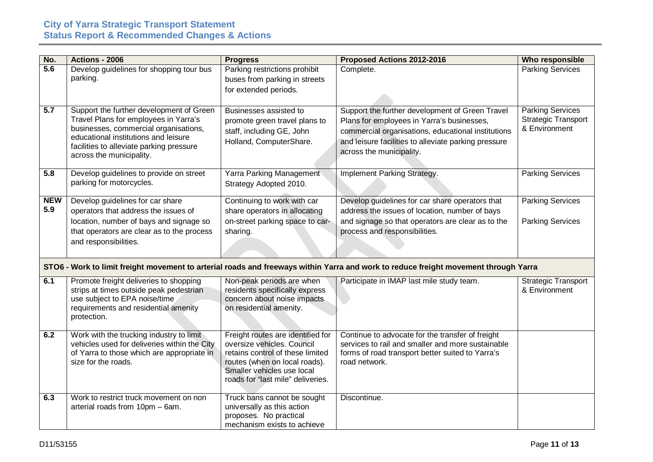| No.               | <b>Actions - 2006</b>                                                                                                                                                                                                                      | <b>Progress</b>                                                                                                                                                                                         | Proposed Actions 2012-2016                                                                                                                                                                                                              | Who responsible                                                        |
|-------------------|--------------------------------------------------------------------------------------------------------------------------------------------------------------------------------------------------------------------------------------------|---------------------------------------------------------------------------------------------------------------------------------------------------------------------------------------------------------|-----------------------------------------------------------------------------------------------------------------------------------------------------------------------------------------------------------------------------------------|------------------------------------------------------------------------|
| $\overline{5.6}$  | Develop guidelines for shopping tour bus<br>parking.                                                                                                                                                                                       | Parking restrictions prohibit<br>buses from parking in streets<br>for extended periods.                                                                                                                 | Complete.                                                                                                                                                                                                                               | <b>Parking Services</b>                                                |
| $\overline{5.7}$  | Support the further development of Green<br>Travel Plans for employees in Yarra's<br>businesses, commercial organisations,<br>educational institutions and leisure<br>facilities to alleviate parking pressure<br>across the municipality. | Businesses assisted to<br>promote green travel plans to<br>staff, including GE, John<br>Holland, ComputerShare.                                                                                         | Support the further development of Green Travel<br>Plans for employees in Yarra's businesses,<br>commercial organisations, educational institutions<br>and leisure facilities to alleviate parking pressure<br>across the municipality. | <b>Parking Services</b><br><b>Strategic Transport</b><br>& Environment |
| 5.8               | Develop guidelines to provide on street<br>parking for motorcycles.                                                                                                                                                                        | <b>Yarra Parking Management</b><br>Strategy Adopted 2010.                                                                                                                                               | Implement Parking Strategy.                                                                                                                                                                                                             | <b>Parking Services</b>                                                |
| <b>NEW</b><br>5.9 | Develop guidelines for car share<br>operators that address the issues of<br>location, number of bays and signage so<br>that operators are clear as to the process<br>and responsibilities.                                                 | Continuing to work with car<br>share operators in allocating<br>on-street parking space to car-<br>sharing.                                                                                             | Develop guidelines for car share operators that<br>address the issues of location, number of bays<br>and signage so that operators are clear as to the<br>process and responsibilities.                                                 | <b>Parking Services</b><br><b>Parking Services</b>                     |
|                   |                                                                                                                                                                                                                                            |                                                                                                                                                                                                         | STO6 - Work to limit freight movement to arterial roads and freeways within Yarra and work to reduce freight movement through Yarra                                                                                                     |                                                                        |
| 6.1               | Promote freight deliveries to shopping<br>strips at times outside peak pedestrian<br>use subject to EPA noise/time<br>requirements and residential amenity<br>protection.                                                                  | Non-peak periods are when<br>residents specifically express<br>concern about noise impacts<br>on residential amenity.                                                                                   | Participate in IMAP last mile study team.                                                                                                                                                                                               | <b>Strategic Transport</b><br>& Environment                            |
| 6.2               | Work with the trucking industry to limit<br>vehicles used for deliveries within the City<br>of Yarra to those which are appropriate in<br>size for the roads.                                                                              | Freight routes are identified for<br>oversize vehicles. Council<br>retains control of these limited<br>routes (when on local roads).<br>Smaller vehicles use local<br>roads for "last mile" deliveries. | Continue to advocate for the transfer of freight<br>services to rail and smaller and more sustainable<br>forms of road transport better suited to Yarra's<br>road network.                                                              |                                                                        |
| 6.3               | Work to restrict truck movement on non<br>arterial roads from 10pm - 6am.                                                                                                                                                                  | Truck bans cannot be sought<br>universally as this action<br>proposes. No practical<br>mechanism exists to achieve                                                                                      | Discontinue.                                                                                                                                                                                                                            |                                                                        |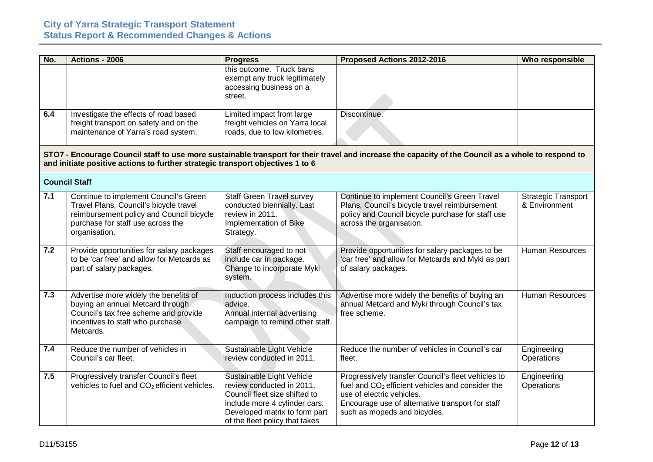| No. | Actions - 2006                                                                                                                                                                    | <b>Progress</b>                                                                                                                                                                             | Proposed Actions 2012-2016                                                                                                                                                                                                | Who responsible                             |
|-----|-----------------------------------------------------------------------------------------------------------------------------------------------------------------------------------|---------------------------------------------------------------------------------------------------------------------------------------------------------------------------------------------|---------------------------------------------------------------------------------------------------------------------------------------------------------------------------------------------------------------------------|---------------------------------------------|
|     |                                                                                                                                                                                   | this outcome. Truck bans<br>exempt any truck legitimately<br>accessing business on a<br>street.                                                                                             |                                                                                                                                                                                                                           |                                             |
| 6.4 | Investigate the effects of road based<br>freight transport on safety and on the<br>maintenance of Yarra's road system.                                                            | Limited impact from large<br>freight vehicles on Yarra local<br>roads, due to low kilometres.                                                                                               | Discontinue.                                                                                                                                                                                                              |                                             |
|     | and initiate positive actions to further strategic transport objectives 1 to 6                                                                                                    |                                                                                                                                                                                             | STO7 - Encourage Council staff to use more sustainable transport for their travel and increase the capacity of the Council as a whole to respond to                                                                       |                                             |
|     | <b>Council Staff</b>                                                                                                                                                              |                                                                                                                                                                                             |                                                                                                                                                                                                                           |                                             |
| 7.1 | Continue to implement Council's Green<br>Travel Plans, Council's bicycle travel<br>reimbursement policy and Council bicycle<br>purchase for staff use across the<br>organisation. | <b>Staff Green Travel survey</b><br>conducted biennially. Last<br>review in 2011.<br>Implementation of Bike<br>Strategy.                                                                    | Continue to implement Council's Green Travel<br>Plans, Council's bicycle travel reimbursement<br>policy and Council bicycle purchase for staff use<br>across the organisation.                                            | <b>Strategic Transport</b><br>& Environment |
| 7.2 | Provide opportunities for salary packages<br>to be 'car free' and allow for Metcards as<br>part of salary packages.                                                               | Staff encouraged to not<br>include car in package.<br>Change to incorporate Myki<br>system.                                                                                                 | Provide opportunities for salary packages to be<br>'car free' and allow for Metcards and Myki as part<br>of salary packages.                                                                                              | <b>Human Resources</b>                      |
| 7.3 | Advertise more widely the benefits of<br>buying an annual Metcard through<br>Council's tax free scheme and provide<br>incentives to staff who purchase<br>Metcards.               | Induction process includes this<br>advice.<br>Annual internal advertising<br>campaign to remind other staff.                                                                                | Advertise more widely the benefits of buying an<br>annual Metcard and Myki through Council's tax<br>free scheme.                                                                                                          | <b>Human Resources</b>                      |
| 7.4 | Reduce the number of vehicles in<br>Council's car fleet.                                                                                                                          | Sustainable Light Vehicle<br>review conducted in 2011.                                                                                                                                      | Reduce the number of vehicles in Council's car<br>fleet.                                                                                                                                                                  | Engineering<br>Operations                   |
| 7.5 | Progressively transfer Council's fleet<br>vehicles to fuel and CO <sub>2</sub> efficient vehicles.                                                                                | Sustainable Light Vehicle<br>review conducted in 2011.<br>Council fleet size shifted to<br>include more 4 cylinder cars.<br>Developed matrix to form part<br>of the fleet policy that takes | Progressively transfer Council's fleet vehicles to<br>fuel and $CO2$ efficient vehicles and consider the<br>use of electric vehicles.<br>Encourage use of alternative transport for staff<br>such as mopeds and bicycles. | Engineering<br>Operations                   |